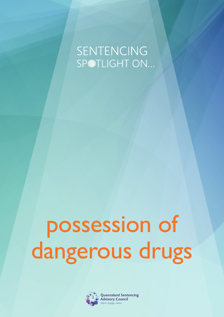# SENTENCING SPOTLIGHT ON...

# possession of dangerous drugs

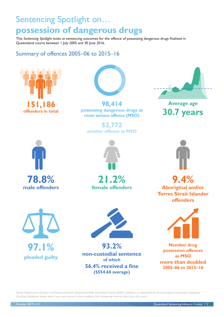# Sentencing Spotlight on… **possession of dangerous drugs**

This *Sentencing Spotlight* looks at sentencing outcomes for the offence of possessing dangerous drugs finalised in Queensland courts between 1 July 2005 and 30 June 2016.

## Summary of offences 2005–06 to 2015–16





**98,414 possessing dangerous drugs as most serious offence (MSO)**

**52,772 another offence as MSO**



**Average age 30.7 years**







**9.4% Aboriginal and/or Torres Strait Islander offenders**





**93.2% non-custodial sentence of which 56.4% received a fine (\$554.60 average)**



**Number drug possession offences as MSO more than doubled 2005–06 to 2015–16**

Source: Department of Justice and Attorney-General's Queensland Wide Inter-linked Courts (QWIC) database, as maintained by the Queensland Government Statistician *(GovStats). Additional details about cases were sourced, where available, from sentencing remarks direct from the courts.*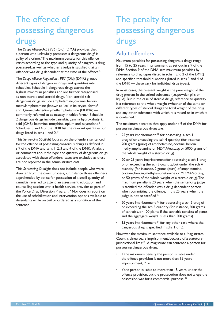# The offence of possessing dangerous drugs

The *Drugs Misuse Act 1986* (Qld) (DMA) provides that a person who unlawfully possesses a dangerous drug<sup>i</sup> is guilty of a crime.<sup>2</sup> The maximum penalty for this offence varies according to the type and quantity of dangerous drug possessed, as well as whether a judge is satisfied that an offender was drug dependent at the time of the offence.<sup>3</sup>

The *Drugs Misuse Regulation 1987* (Qld) (DMR) groups different types of dangerous drugs and quantities into schedules. Schedule 1 dangerous drugs attract the highest maximum penalties and are further categorised as non-steroid and steroid drugs. Non-steroid sch 1 dangerous drugs include amphetamine, cocaine, heroin, methylamphetamine (known as 'ice' in its crystal form)4 and 3,4-methylenedioxymethamphetamine (MDMA) commonly referred to as ecstasy in tablet form.<sup>5</sup> Schedule 2 dangerous drugs include cannabis, gamma hydroxybutyric acid (GHB), ketamine, morphine, opium and oxycodone.<sup>6</sup> Schedules 3 and 4 of the DMR list the relevant quantities for drugs listed in schs 1 and 2.7

This *Sentencing Spotlight* focuses on the offenders sentenced for the offence of possessing dangerous drugs as defined in s 9 of the DMA and schs 1, 2, 3 and 4 of the DMR. Analysis or comments about the type and quantity of dangerous drugs associated with these offenders' cases are excluded as these are not reported in the administrative data.

This *Sentencing Spotlight* does not include people who were diverted from the court process, for instance those offenders apprehended by police for possession of a small quantity of cannabis referred to attend an assessment, education and counselling session with a health service provider as part of the Police Drug Diversion Program. 8 Nor does it report on the use of rehabilitation and intervention options available to defendants while on bail or ordered as a condition of their sentence.

# The penalty for possessing dangerous drugs

## Adult offenders

Maximum penalties for possessing dangerous drugs range from 15 to 25 years imprisonment, as set out in s 9 of the DMA. Section 9 of the DMA sets maximum penalties by reference to drug types (listed in schs 1 and 2 of the DMR) and specified threshold quantities (listed in schs 3 and 4 of the DMR — these vary for individual drug types).

In most cases, the relevant weight is the pure weight of the drug present in the seized substance (i.e. powder, pills or liquid). But in the case of steroid drugs, reference to quantity is a reference to the whole weight (whether of the same or different types of steroid drug); the total weight of the drug and any other substance with which it is mixed or in which it is contained.<sup>9</sup>

The maximum penalties that apply under s 9 of the DMA for possessing dangerous drugs are:

- 25 years imprisonment:  $10$  for possessing a sch I drug of or exceeding the sch 4 quantity (for instance, 200 grams (pure) of amphetamine, cocaine, heroin, methylamphetamine or MDMA/ecstasy, or 5000 grams of the whole weight of a steroid drug)
- 20 or 25 years imprisonment: for possessing a sch 1 drug of or exceeding the sch 3 quantity, but under the sch 4 quantity (for instance, 2 grams (pure) of amphetamine, cocaine, heroin, methylamphetamine or MDMA/ecstasy, or 50 grams of the whole weight of a steroid drug). The maximum penalty is 20 years when the sentencing judge is satisfied the offender was a drug dependent person when committing the offence;<sup>11</sup> it is 25 years when the judge is not so satisfied<sup>12</sup>
- 20 years imprisonment: 13 for possessing a sch 2 drug of or exceeding the sch 3 quantity (for instance, 500 grams of cannabis, or 100 plants if the cannabis consists of plants and the aggregate weight is less than 500 grams)
- 15 years imprisonment:  $14$  for any other case where the dangerous drug is specified in schs 1 or 2.

However, the maximum sentence available to a Magistrates Court is three years imprisonment, because of a statutory jurisdictional limit.<sup>15</sup> A magistrate can sentence a person for possessing dangerous drugs:

- if the maximum penalty the person is liable under the offence provision is not more than 15 years imprisonment, <sup>16</sup> or
- if the person is liable to more than 15 years, under the offence provision, but the prosecution does not allege the possession was for a commercial purpose.<sup>17</sup>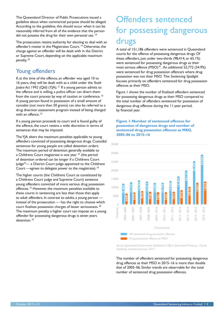The Queensland Director of Public Prosecutions issued a guideline about when commercial purpose should be alleged. According to the guideline, this should occur when it can be reasonably inferred from all of the evidence that the person did not possess the drug for their own personal use.<sup>18</sup>

The prosecution retains authority for electing to deal with an offender's matter in the Magistrates Court.<sup>19</sup> Otherwise, the charge against an offender will be dealt with in the District or Supreme Court, depending on the applicable maximum penalty. 20

## Young offenders

If, at the time of the offence, an offender was aged 10 to 16 years, they will be dealt with as a child under the *Youth Justice Act 1992* (Qld) (YJA). 21 If a young person admits to the offence and is willing, a police officer can divert them from the court process by way of caution or conference.<sup>22</sup> A young person found in possession of a small amount of cannabis (not more than 50 grams) can also be referred to a drug diversion assessment program instead of being charged with an offence.<sup>23</sup>

If a young person proceeds to court and is found guilty of the offence, the court retains a wide discretion in terms of sentences that may be imposed.

The YJA alters the maximum penalties applicable to young offenders convicted of possessing dangerous drugs. Custodial sentences for young people are called detention orders. The maximum period of detention generally available to a Childrens Court magistrate is one year  $24$  (the period of detention ordered can be longer if a Childrens Court judge<sup>25</sup>— a District Court judge appointed to the Childrens Court —agrees to delegate power to the magistrate). 26

The higher courts (the Childrens Court as constituted by a Childrens Court judge and Supreme Court) sentence young offenders convicted of more serious drug possession offences. 27 However, the maximum penalties available to these courts in sentencing are less than those that apply to adult offenders. In contrast to adults, a young person instead of the prosecution — has the right to choose which court finalises possession charges of lesser seriousness. <sup>28</sup> The maximum penalty a higher court can impose on a young offender for possessing dangerous drugs is seven years detention.<sup>29</sup>

# Offenders sentenced for possessing dangerous drugs

A total of 151,186 offenders were sentenced in Queensland courts for the offence of possessing dangerous drugs. Of these offenders, just under two-thirds (98,414, or 65.1%) were sentenced for possessing dangerous drugs as their most serious offence (MSO)<sup>30</sup>. An additional 52,772 (34.9%) were sentenced for drug possession offence/s where drug possession was not their MSO. This *Sentencing Spotlight*  focuses primarily on offenders sentenced for drug possession offences as their MSO.

Figure 1 shows the number of finalised offenders sentenced for possessing dangerous drugs as their MSO compared to the total number of offenders sentenced for possession of dangerous drug offences during the 11-year period, by financial year.

## **Figure 1: Number of sentenced offences for possession of dangerous drugs and number of sentenced drug possession offences as MSO, 2005–06 to 2015–16**



*Source: Queensland Government Statistician's Office, Queensland Treasury - Courts Database, extracted January 2017*

The number of offenders sentenced for possessing dangerous drug offences as their MSO in 2015–16 is more than double that of 2005–06. Similar trends are observable for the total number of sentenced drug possession offences.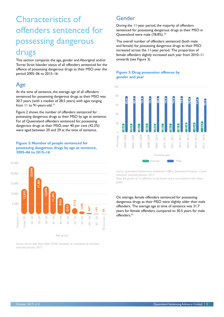# Characteristics of offenders sentenced for possessing dangerous drugs

This section compares the age, gender and Aboriginal and/or Torres Strait Islander status of all offenders sentenced for the offence of possessing dangerous drugs as their MSO over the period 2005–06 to 2015–16.

## Age

At the time of sentence, the average age of all offenders sentenced for possessing dangerous drugs as their MSO was 30.7 years (with a median of 28.5 years) with ages ranging from 11 to 91-years-old.<sup>31</sup>

Figure 2 shows the number of offenders sentenced for possessing dangerous drugs as their MSO by age at sentence. For all Queensland offenders sentenced for possessing dangerous drugs as their MSO, over 40 per cent (42.2%) were aged between 20 and 29 at the time of sentence.

## **Figure 2: Number of people sentenced for possessing dangerous drugs by age at sentence, 2005–06 to 2015–16**



*Source: Courts data from DJAG QWIC database, as maintained by GovStats, extracted January 2017*

## Gender

During the 11-year period, the majority of offenders sentenced for possessing dangerous drugs as their MSO in Queensland were male (78.8%). <sup>32</sup>

The overall number of offenders sentenced (both male and female) for possessing dangerous drugs as their MSO increased across the 11-year period. The proportion of female offenders slightly increased each year from 2010–11 onwards (see Figure 3).

## **Figure 3: Drug possession offences by gender and year**



*Source: Queensland Government Statistician's Office, Queensland Treasury - Courts Database, extracted January 2017*

*Note: the gender of 12 offenders is not known and is not included in the above graph.* 

On average, female offenders sentenced for possessing dangerous drugs as their MSO were slightly older than male offenders. The average age at time of sentence was 31.7 years for female offenders, compared to 30.5 years for male offenders.<sup>33</sup>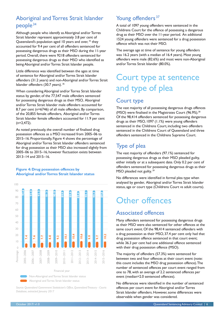## Aboriginal and Torres Strait Islander people<sup>34</sup>

Although people who identify as Aboriginal and/or Torres Strait Islander represent approximately 3.8 per cent of Queensland's population aged 10 years and over, <sup>35</sup> they accounted for 9.4 per cent of all offenders sentenced for possessing dangerous drugs as their MSO during the 11-year period. Overall, there were 9218 offenders sentenced for possessing dangerous drugs as their MSO who identified as being Aboriginal and/or Torres Strait Islander people.

Little difference was identified between the ages at time of sentence for Aboriginal and/or Torres Strait Islander offenders (31.2 years) and non-Aboriginal and/or Torres Strait Islander offenders (30.7 years). 36

When considering Aboriginal and/or Torres Strait Islander status by gender, of the 77,547 male offenders sentenced for possessing dangerous drugs as their MSO, Aboriginal and/or Torres Strait Islander male offenders accounted for 8.7 per cent (n=6746) of all male offenders. By comparison, of the 20,855 female offenders, Aboriginal and/or Torres Strait Islander female offenders accounted for 11.9 per cent  $(n=2,472)$ .

As noted previously, the overall number of finalised drug possession offences as a MSO increased from 2005–06 to 2015–16. Proportionally, Figure 4 shows the percentage of Aboriginal and/or Torres Strait Islander offenders sentenced for drug possession as their MSO also increased slightly from 2005–06 to 2015–16, however fluctuation exists between 2013–14 and 2015–16.

## **Figure 4: Drug possession offences by Aboriginal and/or Torres Strait Islander status**



Aboriginal and Torres Strait Islander status

#### *Source: Queensland Government Statistician's Office, Queensland Treasury - Courts Database, extracted January 2017*

## Young offenders<sup>37</sup>

A total of 1097 young offenders were sentenced in the Childrens Court for the offence of possessing a dangerous drug as their MSO over the 11-year period. An additional 1524 young offenders were sentenced for a drug possession offence which was not their MSO.

The average age at time of sentence for young offenders was 16.2 years (with a median of 16.4 years). Most young offenders were male (82.6%) and most were non-Aboriginal and/or Torres Strait Islander (80.0%).

# Court type at sentence and type of plea

## Court type

The vast majority of all possessing dangerous drugs offences (MSO) were finalised in the Magistrates Court (96.9%).<sup>38</sup> Of the 98,414 offenders sentenced for possessing dangerous drugs as their MSO, 1097 (1.1%) were young offenders sentenced in the Childrens Court, including two offenders sentenced in the Childrens Court of Queensland and three offenders sentenced in the Childrens Supreme Court.

## Type of plea

The vast majority of offenders (97.1%) sentenced for possessing dangerous drugs as their MSO pleaded guilty, either initially or at a subsequent date. Only 0.2 per cent of offenders sentenced for possessing dangerous drugs as their MSO pleaded not guilty.<sup>39</sup>

No differences were identified in formal plea type when analysed by gender, Aboriginal and/or Torres Strait Islander status, age or court type (Childrens Court vs adult courts).

# Other offences

## Associated offences

Many offenders sentenced for possessing dangerous drugs as their MSO were also sentenced for other offences at the same court event. Of the 98,414 sentenced offenders with a drug possession as their MSO, 37.4 per cent only had that drug possession offence sentenced in that court event; while 36.3 per cent had one additional offence sentenced with their drug possession offence (MSO).

The majority of offenders (57.3%) were sentenced for between two and four offences at their court event (note: this count includes the MSO drug possession offence). The number of sentenced offences per court event ranged from one to 78, with an average of 2.2 sentenced offences per event (median=2.0 sentenced offences).

No differences were identified in the number of sentenced offences per court event for Aboriginal and/or Torres Strait Islander offenders. However, some differences were observable when gender was considered.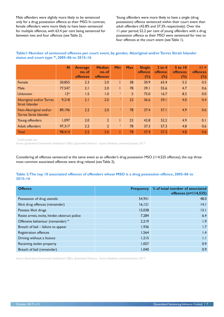Male offenders were slightly more likely to be sentenced only for a drug possession offence as their MSO. In contrast, female offenders were more likely to have been sentenced for multiple offences, with 63.4 per cent being sentenced for between two and four offences (see Table 2).

Young offenders were more likely to have a single (drug possession) offence sentenced within their court event than adult offenders (42.8% and 37.3% respectively). Over the 11-year period, 52.2 per cent of young offenders with a drug possession offence as their MSO were sentenced for two to four offences at the court event (see Table 1).

#### **Table1: Number of sentenced offences per court event, by gender, Aboriginal and/or Torres Strait Islander status and court type 40, 2005–06 to 2015–16**

|                                                        | N      | <b>Average</b><br>no. of<br><b>offences</b> | <b>Median</b><br>no. of<br><b>offences</b> | Min | <b>Max</b> | <b>Single</b><br><b>offence</b><br>$(\%)$ | $2$ to 4<br><b>offence</b><br>$(\%)$ | <b>5 to 10</b><br><b>offences</b><br>$(\%)$ | $11 +$<br><b>offences</b><br>$(\%)$ |
|--------------------------------------------------------|--------|---------------------------------------------|--------------------------------------------|-----|------------|-------------------------------------------|--------------------------------------|---------------------------------------------|-------------------------------------|
| Female                                                 | 20,855 | 2.3                                         | 2.0                                        |     | 38         | 30.9                                      | 63.4                                 | 5.3                                         | 0.5                                 |
| Male                                                   | 77,547 | 2.1                                         | 2.0                                        |     | 78         | 39.1                                      | 55.6                                 | 4.7                                         | 0.6                                 |
| <b>Unknown</b>                                         | $12*$  | 1.5                                         | 1.0                                        |     | 5          | 75.0                                      | 16.7                                 | 8.3                                         | 0.0                                 |
| Aboriginal and/or Torres<br>Strait Islander            | 9,218  | 2.1                                         | 2.0                                        |     | 23         | 36.6                                      | 59.1                                 | 4.0                                         | 0.4                                 |
| Non-Aboriginal and/or<br><b>Torres Strait Islander</b> | 89,196 | 2.2                                         | 2.0                                        |     | 78         | 37.4                                      | 57.1                                 | 4.9                                         | 0.6                                 |
| Young offenders                                        | 1,097  | 2.0                                         | 2 <sup>1</sup>                             |     | 23         | 42.8                                      | 52.2                                 | 4.9                                         | 0.1                                 |
| Adult offenders                                        | 97,317 | 2.2                                         | $\overline{2}$                             |     | 78         | 37.3                                      | 57.3                                 | 4.8                                         | 0.6                                 |
| <b>Total</b>                                           | 98,414 | 2.2                                         | 2.0                                        |     | 78         | 37.4                                      | 57.3                                 | 4.8                                         | 0.6                                 |

*\* Small sample size*

*Source: Queensland Government Statistician's Office, Queensland Treasury - Courts Database, extracted January 2017*

Considering all offences sentenced at the same event as an offender's drug possession MSO (114,525 offences), the top three most common associated offences were drug related (see Table 2).

#### **Table 2: The top 10 associated offences of offenders whose MSO is a drug possession offence, 2005–06 to 2015–16**

| <b>Offence</b>                                 | <b>Frequency</b> | % of total number of associated<br>offences $(n=114,525)$ |
|------------------------------------------------|------------------|-----------------------------------------------------------|
| Possession of drug utensils                    | 54,951           | 48.0                                                      |
| Illicit drug offences (remainder)              | 16, 121          | $ 4.1\rangle$                                             |
| Possess illicit drugs                          | 15,038           | 13.1                                                      |
| Resist arrest, incite, hinder, obstruct police | 7,284            | 6.4                                                       |
| Offensive behaviour (remainder) <sup>41</sup>  | 2,219            | 1.9                                                       |
| Breach of bail - failure to appear             | 1,936            | 1.7                                                       |
| <b>Registration offences</b>                   | 1,564            | $\mathsf{I}$ .4                                           |
| Driving without a licence                      | 1,215            | $\mathsf{L}$                                              |
| Receiving stolen property                      | 1,057            | 0.9                                                       |
| Breach of bail (remainder)                     | 1,040            | 0.9                                                       |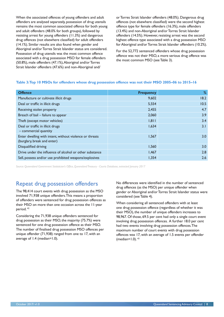When the associated offences of young offenders and adult offenders are analysed separately, possession of drug utensils remains the most common associated offence for both young and adult offenders (48.0% for both groups), followed by resisting arrest for young offenders (11.3%) and dangerous drug offences (not elsewhere classified) for adult offenders (14.1%). Similar results are also found when gender and Aboriginal and/or Torres Strait Islander status are considered. Possession of drug utensils was the most common offence associated with a drug possession MSO for female offenders (50.8%), male offenders (47.1%), Aboriginal and/or Torres Strait Islander offenders (47.6%) and non-Aboriginal and/

or Torres Strait Islander offenders (48.0%). Dangerous drug offences (not elsewhere classified) were the second highest offence type for female offenders (16.3%), male offenders (13.4%) and non-Aboriginal and/or Torres Strait Islander offenders (14.5%). However, resisting arrest was the second highest offence type associated with a drug possession MSO for Aboriginal and/or Torres Strait Islander offenders (10.2%).

For the 52,772 sentenced offenders whose drug possession offence was not their MSO, a more serious drug offence was the most common MSO (see Table 3).

| <b>Offence</b>                                                                         | <b>Frequency</b> | %    |
|----------------------------------------------------------------------------------------|------------------|------|
| Manufacture or cultivate illicit drugs                                                 | 9,602            | 18.2 |
| Deal or traffic in illicit drugs                                                       | 5,554            | 10.5 |
| Receiving stolen property                                                              | 2,455            | 4.7  |
| Breach of bail - failure to appear                                                     | 2,060            | 3.9  |
| Theft (except motor vehicles)                                                          | 1,811            | 3.4  |
| Deal or traffic in illicit drugs<br>- commercial quantity                              | 1,634            | 3.1  |
| Enter dwelling with intent, without violence or threats<br>(burglary, break and enter) | 1,567            | 3.0  |
| Disqualified driving                                                                   | 1,560            | 3.0  |
| Drive under the influence of alcohol or other substance                                | 1,467            | 2.8  |
| Sell, possess and/or use prohibited weapons/explosives                                 | 1,354            | 2.6  |

## **Table 3: Top 10 MSOs for offenders whose drug possession offence was not their MSO 2005–06 to 2015–16**

*Source: Queensland Government Statistician's Office, Queensland Treasury - Courts Database, extracted January 2017*

## Repeat drug possession offenders

The 98,414 court events with drug possession as the MSO involved 71,938 unique offenders. This means a proportion of offenders were sentenced for drug possession offences as their MSO on more than one occasion across the 11-year period. 42

Considering the 71,938 unique offenders sentenced for drug possession as their MSO, the majority (75.7%) were sentenced for one drug possession offence as their MSO. The number of finalised drug possession MSO offences per unique offender (71,938) ranged from one to 17, with an average of 1.4 (median=1.0).

No differences were identified in the number of sentenced drug offences (as the MSO) per unique offender when gender or Aboriginal and/or Torres Strait Islander status were considered (see Table 4).

When considering all sentenced offenders with at least one drug possession offence (regardless of whether it was their MSO), the number of unique offenders increases to 98,967. Of those, 69.5 per cent had only a single court event involving drug possession offences. A further 18.0 per cent had two events involving drug possession offences. The maximum number of court events with drug possession offences was 17, with an average of 1.5 events per offender (median= $1.0$ ).  $43$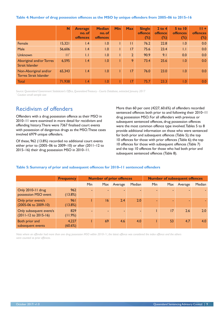#### **Table 4: Number of drug possession offences as the MSO by unique offenders from 2005–06 to 2015–16**

|                                                        | N      | <b>Average</b><br>no. of<br><b>offences</b> | <b>Median</b><br>no. of<br><b>offences</b> | <b>Min</b> | <b>Max</b>     | <b>Single</b><br><b>offence</b><br>$(\%)$ | $2$ to 4<br>offence<br>$(\%)$ | <b>5 to 10</b><br><b>offences</b><br>$(\%)$ | $11 +$<br><b>offences</b><br>$(\%)$ |
|--------------------------------------------------------|--------|---------------------------------------------|--------------------------------------------|------------|----------------|-------------------------------------------|-------------------------------|---------------------------------------------|-------------------------------------|
| Female                                                 | 15,321 | $\mathsf{I}.\mathsf{4}$                     | 1.0                                        |            | П              | 76.2                                      | 22.8                          | 1.0                                         | 0.0                                 |
| Male                                                   | 56,606 | 1.4                                         | 0.1                                        |            | 17             | 75.6                                      | 23.4                          | 1.1                                         | 0.0                                 |
| <b>Unknown</b>                                         | $1^*$  | $\mathsf{L}$                                | 1.0                                        |            | $\overline{2}$ | 90.9                                      | 9.1                           | 0.0                                         | 0.0                                 |
| Aboriginal and/or Torres<br>Strait Islander            | 6,595  | $\mathsf{I}$ .4                             | 1.0                                        |            | 9              | 73.4                                      | 25.6                          | 1.0                                         | 0.0                                 |
| Non-Aboriginal and/or<br><b>Torres Strait Islander</b> | 65,343 | $\mathsf{I}$ .4                             | 1.0                                        |            | 17             | 76.0                                      | 23.0                          | 1.0                                         | 0.0                                 |
| <b>Total</b>                                           | 71,938 | $\mathsf{I}$ .4                             | 0.1                                        |            | 17             | 75.7                                      | 23.3                          | 1.0                                         | 0.0                                 |

*Source: Queensland Government Statistician's Office, Queensland Treasury - Courts Database, extracted January 2017 \* Caution: small sample size*

## Recidivism of offenders

Offenders with a drug possession offence as their MSO in 2010–11 were examined in more detail for recidivism and offending history. There were 7367 finalised court events with possession of dangerous drugs as the MSO. These cases involved 6979 unique offenders.

Of these, 962 (13.8%) recorded no additional court events either prior to (2005–06 to 2009–10) or after (2011–12 to 2015–16) their drug possession MSO in 2010–11.

More than 60 per cent (4227, 60.6%) of offenders recorded sentenced offences both prior to and following their 2010–11 drug possession MSO. For all offenders with previous or subsequent sentenced offences, drug possession offences were the most common offence type involved. Tables 5 to 8 provide additional information on those who were sentenced for both prior and subsequent offences (Table 5); the top 10 offences for those with prior offences (Table 6); the top 10 offences for those with subsequent offences (Table 7) and the top 10 offences for those who had both prior and subsequent sentenced offences (Table 8).

#### **Table 5: Summary of prior and subsequent offences for 2010–11 sentenced offenders**

|                                                 | <b>Frequency</b> | <b>Number of prior offences</b> |     |         |                          | <b>Number of subsequent offences</b> |     |         |        |
|-------------------------------------------------|------------------|---------------------------------|-----|---------|--------------------------|--------------------------------------|-----|---------|--------|
|                                                 |                  | Min                             | Max | Average | Median                   | Min                                  | Max | Average | Median |
| Only 2010-11 drug<br>possession MSO event       | 962<br>(13.8%)   | $\overline{\phantom{0}}$        |     | -       | $\overline{a}$           |                                      |     |         |        |
| Only prior event/s<br>(2005-06 to 2009-10)      | 961<br>(13.8%)   |                                 | 16  | 2.4     | 2.0                      |                                      |     |         |        |
| Only subsequent event/s<br>(2011-12 to 2015-16) | 829<br>(11.9%)   | $\overline{\phantom{0}}$        |     | -       | $\overline{\phantom{0}}$ |                                      | 17  | 2.6     | 2.0    |
| Both prior and<br>subsequent events             | 4,227<br>(60.6%) |                                 | 69  | 4.6     | 4.0                      |                                      | 53  | 4.7     | 4.0    |

*Note: where an offender had more than one drug possession MSO within 2010-11, the latest offence was considered the index offence and the others were counted as prior offences.*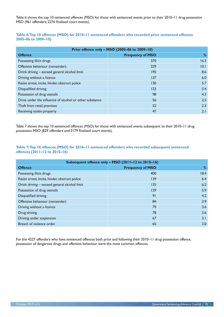Table 6 shows the top 10 sentenced offences (MSO) for those with sentenced events prior to their 2010–11 drug possession MSO (961 offenders; 2276 finalised court events).

#### **Table 6: Top 10 offences (MSO) for 2010–11 sentenced offenders who recorded prior sentenced offences 2005–06 to 2009–10)**

| Prior offence only - MSO (2005-06 to 2009-10)           |                         |      |  |  |  |  |  |  |
|---------------------------------------------------------|-------------------------|------|--|--|--|--|--|--|
| <b>Offence</b>                                          | <b>Frequency of MSO</b> | %    |  |  |  |  |  |  |
| Possessing illicit drugs                                | 370                     | 16.3 |  |  |  |  |  |  |
| Offensive behaviour (remainder)                         | 229                     | 10.1 |  |  |  |  |  |  |
| Drink driving - exceed general alcohol limit            | 195                     | 8.6  |  |  |  |  |  |  |
| Driving without a licence                               | 137                     | 6.0  |  |  |  |  |  |  |
| Resist arrest, incite, hinder, obstruct police          | 130                     | 5.7  |  |  |  |  |  |  |
| Disqualified driving                                    | 123                     | 5.4  |  |  |  |  |  |  |
| Possession of drug utensils                             | 98                      | 4.3  |  |  |  |  |  |  |
| Drive under the influence of alcohol or other substance | 56                      | 2.5  |  |  |  |  |  |  |
| Theft from retail premises                              | 52                      | 2.3  |  |  |  |  |  |  |
| Receiving stolen property                               | 47                      | 2.1  |  |  |  |  |  |  |

Table 7 shows the top 10 sentenced offences (MSO) for those with sentenced events subsequent to their 2010–11 drug possession MSO (829 offenders and 2179 finalised court events).

## **Table 7: Top 10 offences (MSO) for 2010–11 sentenced offenders who recorded subsequent sentenced offences (2011–12 to 2015–16)**

| Subsequent offence only - MSO (2011-12 to 2015-16) |                         |      |  |  |  |  |  |  |
|----------------------------------------------------|-------------------------|------|--|--|--|--|--|--|
| <b>Offence</b>                                     | <b>Frequency of MSO</b> | %    |  |  |  |  |  |  |
| Possessing illicit drugs                           | 400                     | 18.4 |  |  |  |  |  |  |
| Resist arrest, incite, hinder, obstruct police     | 139                     | 6.4  |  |  |  |  |  |  |
| Drink driving - exceed general alcohol limit       | 135                     | 6.2  |  |  |  |  |  |  |
| Possession of drug utensils                        | 129                     | 5.9  |  |  |  |  |  |  |
| Disqualified driving                               | 91                      | 4.2  |  |  |  |  |  |  |
| Offensive behaviour (remainder)                    | 84                      | 3.9  |  |  |  |  |  |  |
| Driving without a licence                          | 79                      | 3.6  |  |  |  |  |  |  |
| Drug driving                                       | 78                      | 3.6  |  |  |  |  |  |  |
| Driving under suspension                           | 67                      | 3.1  |  |  |  |  |  |  |
| Breach of violence order                           | 65                      | 3.0  |  |  |  |  |  |  |

For the 4227 offenders who have sentenced offences both prior and following their 2010–11 drug possession offence, possession of dangerous drugs and offensive behaviour were the most common offences.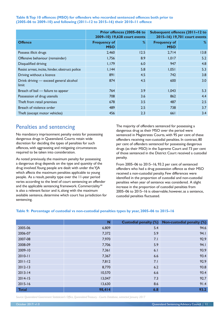|                                                 |                                   | Prior offences (2005-06 to<br>2009-10) 19,628 court events | Subsequent offences (2011-12 to<br>2015-16) 19,701 court events |      |  |
|-------------------------------------------------|-----------------------------------|------------------------------------------------------------|-----------------------------------------------------------------|------|--|
| <b>Offence</b>                                  | <b>Frequency of</b><br><b>MSO</b> | %                                                          | <b>Frequency of</b><br><b>MSO</b>                               | %    |  |
| Possess illicit drugs                           | 2,460                             | 12.5                                                       | 2,714                                                           | 13.8 |  |
| Offensive behaviour (remainder)                 | 1,756                             | 8.9                                                        | 1,017                                                           | 5.2  |  |
| Disqualified driving                            | 1,179                             | 6.0                                                        | 947                                                             | 4.8  |  |
| Resist arrest, incite, hinder, obstruct police  | I, I44                            | 5.8                                                        | 1,051                                                           | 5.3  |  |
| Driving without a licence                       | 891                               | 4.5                                                        | 742                                                             | 3.8  |  |
| Drink driving - exceed general alcohol<br>limit | 874                               | 4.5                                                        | 600                                                             | 3.0  |  |
| Breach of bail - failure to appear              | 764                               | 3.9                                                        | 1,043                                                           | 5.3  |  |
| Possession of drug utensils                     | 708                               | 3.6                                                        | 862                                                             | 4.4  |  |
| Theft from retail premises                      | 678                               | 3.5                                                        | 487                                                             | 2.5  |  |
| Breach of violence order                        | 489                               | 2.5                                                        | 738                                                             | 3.7  |  |
| Theft (except motor vehicles)                   | 456                               | 2.3                                                        | 661                                                             | 3.4  |  |

#### **Table 8: Top 10 offences (MSO) for offenders who recorded sentenced offences both prior to (2005–06 to 2009–10) and following (2011–12 to 2015–16) their 2010–11 offence**

## Penalties and sentencing

No mandatory imprisonment penalty exists for possessing dangerous drugs in Queensland. Courts retain wide discretion for deciding the types of penalties for such offences, with aggravating and mitigating circumstances required to be taken into consideration.

As noted previously, the maximum penalty for possessing a dangerous drug depends on the type and quantity of the drug involved. Young people are dealt with under the YJA which affects the maximum penalties applicable to young people. As a result, penalty type over the 11-year period varies according to the level of court sentencing an offender and the applicable sentencing framework. Commerciality<sup>44</sup> is also a relevant factor and it, along with the maximum available sentence, determine which court has jurisdiction for sentencing.

The majority of offenders sentenced for possessing a dangerous drug as their MSO over the period were sentenced in Magistrates Courts, with 95 per cent of these offenders receiving non-custodial penalties. In contrast, 80 per cent of offenders sentenced for possessing dangerous drugs (as their MSO) in the Supreme Court and 73 per cent of those sentenced in the District Court received a custodial penalty.

From 2005–06 to 2015–16, 93.2 per cent of sentenced offenders who had a drug possession offence as their MSO received a non-custodial penalty. Few differences were identified in the proportion of custodial and non-custodial penalties when year of sentence was considered. A slight increase in the proportion of custodial penalties from 2005–06 to 2015–16 is observable; however, as a sentence, custodial penalties fluctuated.

## **Table 9: Percentage of custodial vs non-custodial penalties types by year, 2005–06 to 2015–16**

|              | N      | <b>Custodial penalty (%)</b> | Non-custodial penalty (%) |
|--------------|--------|------------------------------|---------------------------|
| 2005-06      | 6,809  | 5.4                          | 94.6                      |
| 2006-07      | 7,372  | 5.9                          | 94.1                      |
| 2007-08      | 7,970  | 7.1                          | 92.9                      |
| 2008-09      | 7,706  | 5.9                          | 94.1                      |
| 2009-10      | 7,361  | 6.1                          | 93.9                      |
| 2010-11      | 7,367  | 6.6                          | 93.4                      |
| $2011 - 12$  | 7,812  | 7.1                          | 92.9                      |
| $2012 - 13$  | 8,770  | 6.2                          | 93.8                      |
| $2013 - 14$  | 10,570 | 6.6                          | 93.4                      |
| 2014-15      | 13,047 | 7.3                          | 92.7                      |
| 2015-16      | 13,630 | 8.6                          | 91.4                      |
| <b>Total</b> | 98,414 | 6.8                          | 93.2                      |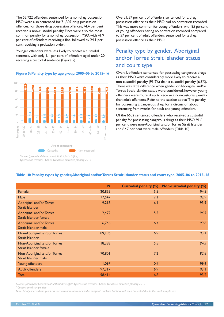The 52,722 offenders sentenced for a non-drug possession MSO were also sentenced for 71,307 drug possession offences. For those drug possession offences, 74.4 per cent received a non-custodial penalty. Fines were also the most common penalty for a non-drug possession MSO, with 41.9 per cent of offenders receiving a fine, followed by 24.1 per cent receiving a probation order.

Younger offenders were less likely to receive a custodial sentence, with only 1.1 per cent of offenders aged under 20 receiving a custodial sentence (Figure 5).



**Figure 5: Penalty type by age group, 2005–06 to 2015–16**

Overall, 57 per cent of offenders sentenced for a drug possession offence as their MSO had no conviction recorded. This was more common for young offenders, with 85 percent of young offenders having no conviction recorded compared to 57 per cent of adult offenders sentenced for a drug possession offence as their MSO.

## Penalty type by gender, Aboriginal and/or Torres Strait Islander status and court type

Overall, offenders sentenced for possessing dangerous drugs as their MSO were considerably more likely to receive a non-custodial penalty (93.2%) than a custodial penalty (6.8%). There was little difference when gender or Aboriginal and/or Torres Strait Islander status were considered, however young offenders were more likely to receive a non-custodial penalty than adult offenders. Refer to the section above 'The penalty for possessing a dangerous drug' for a discussion about sentencing frameworks for adult and young offenders.

| 30<br>50<br>$^{40}$<br>4.3<br>9,9<br>9.0<br>20<br>9.3<br>$\overline{a}$<br>$\circ$<br>Percentage<br>Under 20<br>$25 - 29$<br>$20 - 24$<br>$30 - 34$<br>$35 - 39$<br>$40 - 44$                                                                                                                    | $\frac{1}{2}$<br>$\frac{8}{3}$<br>8.9<br>$\frac{6}{3}$<br>3.0<br>$50 - 54$<br>$55 - 59$<br>$60 - 64$<br>$65 - 69$<br>70 and over<br>$45 - 49$ | There was little difference when gender or Aboriginal and/or<br>Torres Strait Islander status were considered, however young<br>offenders were more likely to receive a non-custodial penalty<br>than adult offenders. Refer to the section above 'The penalty<br>for possessing a dangerous drug' for a discussion about<br>sentencing frameworks for adult and young offenders.<br>Of the 6682 sentenced offenders who received a custodial<br>penalty for possessing dangerous drugs as their MSO, 91.6<br>per cent were non-Aboriginal and/or Torres Strait Islander<br>and 82.7 per cent were male offenders (Table 10). |                                  |  |  |  |  |  |  |
|--------------------------------------------------------------------------------------------------------------------------------------------------------------------------------------------------------------------------------------------------------------------------------------------------|-----------------------------------------------------------------------------------------------------------------------------------------------|-------------------------------------------------------------------------------------------------------------------------------------------------------------------------------------------------------------------------------------------------------------------------------------------------------------------------------------------------------------------------------------------------------------------------------------------------------------------------------------------------------------------------------------------------------------------------------------------------------------------------------|----------------------------------|--|--|--|--|--|--|
| Age at sentencing<br>Non-custodial<br>Custodial<br>Source: Queensland Government Statistician's Office,<br>Queensland Treasury - Courts Database, extracted January 2017<br>Table 10: Penalty types by gender, Aboriginal and/or Torres Strait Islander status and court type, 2005–06 to 2015–1 |                                                                                                                                               |                                                                                                                                                                                                                                                                                                                                                                                                                                                                                                                                                                                                                               |                                  |  |  |  |  |  |  |
|                                                                                                                                                                                                                                                                                                  |                                                                                                                                               |                                                                                                                                                                                                                                                                                                                                                                                                                                                                                                                                                                                                                               |                                  |  |  |  |  |  |  |
|                                                                                                                                                                                                                                                                                                  | N                                                                                                                                             | <b>Custodial penalty (%)</b>                                                                                                                                                                                                                                                                                                                                                                                                                                                                                                                                                                                                  | <b>Non-custodial penalty (%)</b> |  |  |  |  |  |  |
| Female                                                                                                                                                                                                                                                                                           | 20,855                                                                                                                                        | 5.5                                                                                                                                                                                                                                                                                                                                                                                                                                                                                                                                                                                                                           | 94.5                             |  |  |  |  |  |  |
| Male                                                                                                                                                                                                                                                                                             | 77,547                                                                                                                                        | 7.1                                                                                                                                                                                                                                                                                                                                                                                                                                                                                                                                                                                                                           | 92.9                             |  |  |  |  |  |  |
| Aboriginal and/or Torres<br>Strait Islander                                                                                                                                                                                                                                                      | 9,218                                                                                                                                         | 6.1                                                                                                                                                                                                                                                                                                                                                                                                                                                                                                                                                                                                                           | 93.9                             |  |  |  |  |  |  |
| Aboriginal and/or Torres<br>Strait Islander female                                                                                                                                                                                                                                               | 2,472                                                                                                                                         | 5.5                                                                                                                                                                                                                                                                                                                                                                                                                                                                                                                                                                                                                           | 94.5                             |  |  |  |  |  |  |
| Aboriginal and/or Torres<br>Strait Islander male                                                                                                                                                                                                                                                 | 6,746                                                                                                                                         | 6.4                                                                                                                                                                                                                                                                                                                                                                                                                                                                                                                                                                                                                           | 93.6                             |  |  |  |  |  |  |
| Non-Aboriginal and/or Torres<br>Strait Islander                                                                                                                                                                                                                                                  | 89,196                                                                                                                                        | 6.9                                                                                                                                                                                                                                                                                                                                                                                                                                                                                                                                                                                                                           | 93.1                             |  |  |  |  |  |  |
| Non-Aboriginal and/or Torres<br>Strait Islander female                                                                                                                                                                                                                                           | 18,383                                                                                                                                        | 5.5                                                                                                                                                                                                                                                                                                                                                                                                                                                                                                                                                                                                                           | 94.5                             |  |  |  |  |  |  |
| Non-Aboriginal and/or Torres<br>Strait Islander male                                                                                                                                                                                                                                             | 70,801                                                                                                                                        | 7.2                                                                                                                                                                                                                                                                                                                                                                                                                                                                                                                                                                                                                           | 92.8                             |  |  |  |  |  |  |
| Young offenders                                                                                                                                                                                                                                                                                  | 1,097                                                                                                                                         | 0.4                                                                                                                                                                                                                                                                                                                                                                                                                                                                                                                                                                                                                           | 99.6                             |  |  |  |  |  |  |
| <b>Adult offenders</b>                                                                                                                                                                                                                                                                           | 97,317                                                                                                                                        | 6.9                                                                                                                                                                                                                                                                                                                                                                                                                                                                                                                                                                                                                           | 93.1                             |  |  |  |  |  |  |

#### **Table 10: Penalty types by gender, Aboriginal and/or Torres Strait Islander status and court type, 2005–06 to 2015–16**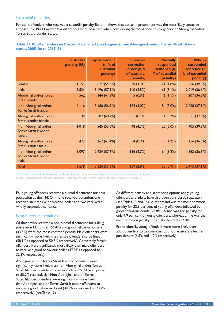## Custodial penalties

For adult offenders who received a custodial penalty, Table 11 shows that actual imprisonment was the most likely sentence imposed (57.3%). However few differences were observed when considering custodial penalties by gender or Aboriginal and/or Torres Strait Islander status.

## **Table 11: Adult offenders — Custodial penalty types by gender and Aboriginal and/or Torres Strait Islander status, 2005–06 to 2015–16**

|                                                                  | <b>Custodial</b><br>penalty (N) | <b>Imprisonment</b><br>(n, % of<br>custodial<br>penalty) | <b>Intensive</b><br>correction<br>order $(n, %$<br>of custodial<br>penalty) | <b>Partially</b><br>suspended<br>sentence (n,<br>% of custodial<br>penalty) | <b>Wholly</b><br>suspended<br>sentence (n,<br>% of custodial<br>penalty) |
|------------------------------------------------------------------|---------------------------------|----------------------------------------------------------|-----------------------------------------------------------------------------|-----------------------------------------------------------------------------|--------------------------------------------------------------------------|
| Female                                                           | 1,153                           | 627 (54.4%)                                              | 49 (4.3%)                                                                   | 21(1.8%)                                                                    | 456 (39.6%)                                                              |
| Male                                                             | 5,524                           | 3,196 (57.9%)                                            | 140(2.5%)                                                                   | 169(3.1%)                                                                   | 2,019 (36.6%)                                                            |
| Aboriginal and/or Torres<br>Strait Islander                      | 562                             | 344 (61.2%)                                              | $5(0.9\%)$                                                                  | 6(1.1%)                                                                     | 207 (36.8%)                                                              |
| Non-Aboriginal and/or<br><b>Torres Strait Islander</b>           | 6,116                           | 3,480 (56.9%)                                            | 184 (3.0%)                                                                  | 184 (3.0%)                                                                  | 2,268 (37.1%)                                                            |
| Aboriginal and/or Torres<br>Strait Islander female               | 135                             | 82 (60.7%)                                               | 1(0.7%)                                                                     | 1(0.7%)                                                                     | 51 (37.8%)                                                               |
| Non-Aboriginal and/or<br><b>Torres Strait Islander</b><br>female | 1,018                           | 545 (53.5%)                                              | 48 (4.7%)                                                                   | 20(2.0%)                                                                    | 405 (39.8%)                                                              |
| Aboriginal and/or Torres<br>Strait Islander male                 | 427                             | 262 (61.4%)                                              | 4(0.9%)                                                                     | 5(1.2%)                                                                     | 156 (36.5%)                                                              |
| Non-Aboriginal and/or<br><b>Torres Strait Islander</b><br>male   | 5,097                           | 2,934 (57.6%)                                            | 136(2.7%)                                                                   | 164(3.2%)                                                                   | 1,863 (36.6%)                                                            |
| <b>Total</b>                                                     | 6,678                           | 3,824 (57.3%)                                            | 189 (2.8%)                                                                  | 190(2.9%)                                                                   | 2,475 (37.1%)                                                            |

*\* Note: one case for which the gender is unknown has been included in the above calculations but has not been displayed. Source: Queensland Government Statistician's Office, Queensland Treasury - Courts Database, extracted January 2017*

Four young offenders received a custodial sentence for drug possession as their MSO — one received detention, one received an intensive correction order, and two received a wholly suspended sentence.

## Non-custodial penalties

Of those who received a non-custodial sentence for a drug possession MSO, fines (56.4%) and good behaviour orders (33.5%) were the most common penalty. Male offenders were significantly more likely than female offenders to be fined (58.1% as opposed to 50.3% respectively). Conversely, female offenders were significantly more likely than male offenders to receive a good behaviour order (37.9% as opposed to 32.3% respectively).

Aboriginal and/or Torres Strait Islander offenders were significantly more likely than non-Aboriginal and/or Torres Strait Islander offenders to receive a fine (69.7% as opposed to 55.2% respectively). Non-Aboriginal and/or Torres Strait Islander offenders were significantly more likely than Aboriginal and/or Torres Strait Islander offenders to receive a good behaviour bond (34.9% as opposed to 20.2% respectively) (see Table 12).

As different penalty and sentencing options apply, young offenders and adults have also been considered separately (see Tables 13 and 14). A reprimand was the most common penalty for 32.9 per cent of young offenders, followed by good behaviour bonds (23.8%). A fine was the penalty for only 4.9 per cent of young offenders, whereas a fine was the most common penalty for adult offenders (57.0%).

Proportionally, young offenders were more likely than adult offenders to be convicted but not receive any further punishment (6.8% and 1.2% respectively).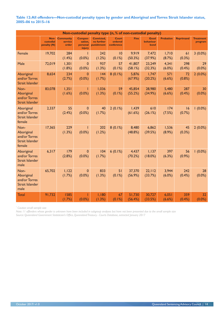**Table 12: All offenders—Non-custodial penalty types by gender and Aboriginal and Torres Strait Islander status, 2005–06 to 2015–16**

| Non-custodial penalty type (n,% of non-custodial penalty)        |                                  |                                      |                                          |                                               |                                       |                   |                           |                  |                  |                             |
|------------------------------------------------------------------|----------------------------------|--------------------------------------|------------------------------------------|-----------------------------------------------|---------------------------------------|-------------------|---------------------------|------------------|------------------|-----------------------------|
|                                                                  | Non-<br>custodial<br>penalty (N) | <b>Community</b><br>service<br>order | Compen-<br>sation,<br>personal<br>injury | <b>Convicted,</b><br>no further<br>punishment | <b>Court</b><br>ordered<br>conference | <b>Fine</b>       | Good<br>behaviour<br>bond | <b>Probation</b> | <b>Reprimand</b> | <b>Treatment</b><br>program |
| Female                                                           | 19,702                           | 284<br>(1.4%)                        | т<br>$(0.0\%)$                           | 242<br>(1.2%)                                 | 10<br>(0.1%)                          | 9,919<br>(50.3%)  | 7,472<br>(37.9%)          | 1,710<br>(8.7%)  | 61<br>(0.3%)     | $3(0.0\%)$                  |
| Male                                                             | 72,019                           | 1,301<br>(1.8%)                      | $\mathbf{0}$<br>$(0.0\%)$                | 937<br>(1.3%)                                 | 57<br>(0.1%)                          | 41,807<br>(58.1%) | 23,249<br>(32.3%)         | 4,341<br>(6.0%)  | 298<br>(0.4%)    | 29<br>$(0.0\%)$             |
| Aboriginal<br>and/or Torres<br>Strait Islander                   | 8,654                            | 234<br>(2.7%)                        | $\mathbf{0}$<br>$(0.0\%)$                | 144<br>(1.7%)                                 | $8(0.1\%)$                            | 5,876<br>(67.9%)  | 1,747<br>(20.2%)          | 571<br>(6.6%)    | 72<br>(0.8%)     | $2(0.0\%)$                  |
| Non-<br>Aboriginal<br>and/or Torres<br>Strait Islander           | 83,078                           | 1,351<br>(1.6%)                      | ı<br>$(0.0\%)$                           | 1,036<br>(1.3%)                               | 59<br>(0.1%)                          | 45,854<br>(55.2%) | 28,980<br>(34.9%)         | 5,480<br>(6.6%)  | 287<br>(0.4%)    | 30<br>$(0.0\%)$             |
| Aboriginal<br>and/or Torres<br>Strait Islander<br>female         | 2,337                            | 55<br>(2.4%)                         | $\boldsymbol{0}$<br>$(0.0\%)$            | 40<br>(1.7%)                                  | 2(0.1%)                               | 1,439<br>(61.6%)  | 610<br>(26.1%)            | 174<br>(7.5%)    | 16<br>(0.7%)     | $1(0.0\%)$                  |
| Non-<br>Aboriginal<br>and/or Torres<br>Strait Islander<br>female | 17,365                           | 229<br>(1.3%)                        | Ш<br>$(0.0\%)$                           | 202<br>(1.2%)                                 | $8(0.1\%)$                            | 8,480<br>(48.8%)  | 6,862<br>(39.5%)          | 1,536<br>(8.9%)  | 45<br>(0.3%)     | $2(0.0\%)$                  |
| Aboriginal<br>and/or Torres<br>Strait Islander<br>male           | 6,317                            | 179<br>(2.8%)                        | $\mathbf 0$<br>$(0.0\%)$                 | 104<br>(1.7%)                                 | $6(0.1\%)$                            | 4,437<br>(70.2%)  | 1,137<br>(18.0%)          | 397<br>(6.3%)    | 56<br>$(0.9\%)$  | $1(0.0\%)$                  |
| Non-<br>Aboriginal<br>and/or Torres<br>Strait Islander<br>male   | 65,702                           | 1,122<br>(1.7%)                      | $\mathbf 0$<br>$(0.0\%)$                 | 833<br>(1.3%)                                 | 51<br>(0.1%)                          | 37,370<br>(56.9%) | 22,112<br>(33.7%)         | 3,944<br>(6.0%)  | 242<br>(0.4%)    | 28<br>$(0.0\%)$             |
| <b>Total</b>                                                     | 91,732                           | 1585<br>(1.7%)                       | $(0.0\%)$                                | 1,180<br>(1.3%)                               | 67<br>(0.1%)                          | 51,730<br>(56.4%) | 30,727<br>(33.5%)         | 6,051<br>(6.6%)  | 359<br>(0.4%)    | 32<br>$(0.0\%)$             |

*\* Caution: small sample size*

*Note: 11 offenders whose gender is unknown have been included in subgroup analyses but have not been presented due to the small sample size*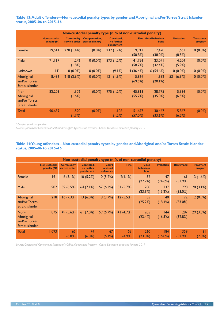#### **Table 13: Adult offenders—Non-custodial penalty types by gender and Aboriginal and/or Torres Strait Islander status, 2005–06 to 2015–16**

| Non-custodial penalty type (n, % of non-custodial penalty) |                                     |                                   |                                         |                                               |                   |                                    |                  |                             |  |  |  |  |  |
|------------------------------------------------------------|-------------------------------------|-----------------------------------|-----------------------------------------|-----------------------------------------------|-------------------|------------------------------------|------------------|-----------------------------|--|--|--|--|--|
|                                                            | <b>Non-custodial</b><br>penalty (N) | <b>Community</b><br>service order | <b>Compensation,</b><br>personal injury | <b>Convicted,</b><br>no further<br>punishment |                   | <b>Fine</b> Good behaviour<br>bond | <b>Probation</b> | <b>Treatment</b><br>program |  |  |  |  |  |
| Female                                                     | 19,511                              | 278 (1.4%)                        | $1(0.0\%)$                              | 232(1.2%)                                     | 9,917<br>(50.8%)  | 7,420<br>(38.0%)                   | 1,663<br>(8.5%)  | $0(0.0\%)$                  |  |  |  |  |  |
| Male                                                       | 71,117                              | 1,242<br>(1.8%)                   | $0(0.0\%)$                              | 873 (1.2%)                                    | 41,756<br>(58.7%) | 23,041<br>(32.4%)                  | 4,204<br>(5.9%)  | $1(0.0\%)$                  |  |  |  |  |  |
| <b>Unknown</b>                                             | $11^*$                              | $0(0.0\%)$                        | $0(0.0\%)$                              | 1(9.1%)                                       | 4(36.4%)          | 6(54.6%)                           | $0(0.0\%)$       | $0(0.0\%)$                  |  |  |  |  |  |
| Aboriginal<br>and/or Torres<br>Strait Islander             | 8,436                               | 218(2.6%)                         | $0(0.0\%)$                              | 131(1.6%)                                     | 5,864<br>(69.5%)  | 1,692<br>(20.1%)                   | 531 (6.3%)       | $0(0.0\%)$                  |  |  |  |  |  |
| Non-<br>Aboriginal<br>and/or Torres<br>Strait Islander     | 82,203                              | 1,302<br>(1.6%)                   | $1(0.0\%)$                              | 975 (1.2%)                                    | 45,813<br>(55.7%) | 28,775<br>(35.0%)                  | 5,336<br>(6.5%)  | $1(0.0\%)$                  |  |  |  |  |  |
| <b>Total</b>                                               | 90,639                              | 1,520<br>(1.7%)                   | $(0.0\%)$                               | 1,106<br>(1.2%)                               | 51,677<br>(57.0%) | 30,467<br>(33.6%)                  | 5,867<br>(6.5%)  | $1(0.0\%)$                  |  |  |  |  |  |

*\* Caution: small sample size*

*Source: Queensland Government Statistician's Office, Queensland Treasury - Courts Database, extracted January 2017*

## **Table 14: Young offenders—Non-custodial penalty types by gender and Aboriginal and/or Torres Strait Islander status, 2005–06 to 2015–16**

|                                                        | Non-custodial penalty type (n, % of non-custodial penalty) |                                   |                                               |                                       |              |                           |                  |                  |                             |  |  |  |  |  |
|--------------------------------------------------------|------------------------------------------------------------|-----------------------------------|-----------------------------------------------|---------------------------------------|--------------|---------------------------|------------------|------------------|-----------------------------|--|--|--|--|--|
|                                                        | <b>Non-custodial</b><br>penalty (N)                        | <b>Community</b><br>service order | <b>Convicted,</b><br>no further<br>punishment | <b>Court</b><br>ordered<br>conference | <b>Fine</b>  | Good<br>behaviour<br>bond | <b>Probation</b> | <b>Reprimand</b> | <b>Treatment</b><br>program |  |  |  |  |  |
| Female                                                 | 9                                                          | 6(3.1%)                           | 10(5.2%)                                      | 10(5.2%)                              | 2(1.1%)      | 52<br>(27.2%)             | 47<br>(24.6%)    | 61<br>(31.9%)    | 3(1.6%)                     |  |  |  |  |  |
| Male                                                   | 902                                                        | 59 (6.5%)                         | 64 (7.1%)                                     | 57(6.3%)                              | 51 (5.7%)    | 208<br>(23.1%)            | 137<br>(15.2%)   | 298<br>(33.0%)   | 28(3.1%)                    |  |  |  |  |  |
| Aboriginal<br>and/or Torres<br>Strait Islander         | 218                                                        | 16(7.3%)                          | $13(6.0\%)$                                   | 8(3.7%)                               | 12 (5.5%)    | 55<br>(25.2%)             | 40<br>(18.4%)    | 72<br>(33.0%)    | $2(0.9\%)$                  |  |  |  |  |  |
| Non-<br>Aboriginal<br>and/or Torres<br>Strait Islander | 875                                                        | 49 (5.6%)                         | 61(7.0%)                                      | 59 (6.7%)                             | 41(4.7%)     | 205<br>(23.4%)            | 44<br>(16.5%)    | 287<br>(32.8%)   | 29(3.3%)                    |  |  |  |  |  |
| <b>Total</b>                                           | 1,093                                                      | 65<br>$(6.0\%)$                   | 74<br>(6.8%)                                  | 67<br>(6.1%)                          | 53<br>(4.9%) | 260<br>(23.8%)            | 84<br>(16.8%)    | 359<br>(32.9%)   | 31<br>(2.8%)                |  |  |  |  |  |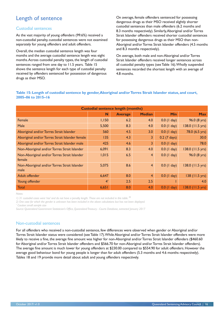## Length of sentence

## Custodial sentences

As the vast majority of young offenders (99.6%) received a non-custodial penalty, custodial sentences were not examined separately for young offenders and adult offenders.

Overall, the median custodial sentence length was four months and the average custodial sentence length was eight months. Across custodial penalty types, the length of custodial sentences ranged from one day to 11.5 years. Table 15 shows the sentence length for each type of custodial penalty received by offenders sentenced for possession of dangerous drugs as their MSO.

On average, female offenders sentenced for possessing dangerous drugs as their MSO received slightly shorter custodial sentences than male offenders (6.2 months and 8.3 months respectively). Similarly, Aboriginal and/or Torres Strait Islander offenders received shorter custodial sentences for possessing dangerous drugs as their MSO than non-Aboriginal and/or Torres Strait Islander offenders (4.5 months and 8.3 months respectively).

On average, both male and non-Aboriginal and/or Torres Strait Islander offenders received longer sentences across all custodial penalty types (see Table 16). Wholly suspended sentences recorded the shortest length with an average of 4.8 months.

#### **Table 15: Length of custodial sentence by gender, Aboriginal and/or Torres Strait Islander status, and court, 2005–06 to 2015–16**

| <b>Custodial sentence length (months)</b>              |       |                |                |                |                  |  |  |  |  |  |  |  |
|--------------------------------------------------------|-------|----------------|----------------|----------------|------------------|--|--|--|--|--|--|--|
|                                                        | N     | <b>Average</b> | <b>Median</b>  | <b>Min</b>     | <b>Max</b>       |  |  |  |  |  |  |  |
| Female                                                 | 1,150 | 6.2            | 4.0            | $0.0$ (1 day)  | 96.0 (8 yrs)     |  |  |  |  |  |  |  |
| <b>Male</b>                                            | 5,500 | 8.3            | 4.0            | $0.0$ (1 day)  | 138.0 (11.5 yrs) |  |  |  |  |  |  |  |
| Aboriginal and/or Torres Strait Islander               | 560   | 4.5            | 3.0            | $0.0$ (1 day)  | 78.0 (6.5 yrs)   |  |  |  |  |  |  |  |
| Aboriginal and/or Torres Strait Islander female        | 135   | 4.3            | $\overline{3}$ | $0.2$ (7 days) | 30.0             |  |  |  |  |  |  |  |
| Aboriginal and/or Torres Strait Islander male          | 425   | 4.6            | $\overline{3}$ | $0.0$ (1 day)  | 78.0             |  |  |  |  |  |  |  |
| Non-Aboriginal and/or Torres Strait Islander           | 6,091 | 8.3            | 4.0            | $0.0$ (1 day)  | 138.0 (11.5 yrs) |  |  |  |  |  |  |  |
| Non-Aboriginal and/or Torres Strait Islander<br>female | 1,015 | 6.5            | $\overline{4}$ | $0.0$ (1 day)  | 96.0 (8 yrs)     |  |  |  |  |  |  |  |
| Non-Aboriginal and/or Torres Strait Islander<br>male   | 5,075 | 8.6            | $\overline{4}$ | $0.0$ (1 day)  | 138.0 (11.5 yrs) |  |  |  |  |  |  |  |
| Adult offender                                         | 6,647 | 8.0            | $\overline{4}$ | $0.0$ (1 day)  | 138 (11.5 yrs)   |  |  |  |  |  |  |  |
| Young offender                                         | $4^*$ | 2.5            | 2.5            |                | 4.0              |  |  |  |  |  |  |  |
| <b>Total</b>                                           | 6,651 | 8.0            | 4.0            | $0.0$ (1 day)  | 138.0 (11.5 yrs) |  |  |  |  |  |  |  |

*Notes:* 

*1) 31 custodial cases were 'rise' and do not have a penalty length. These are not included in this table.* <sup>45</sup>

*2) One case for which the gender is unknown has been included in the above calculations but has not been displayed.* 

*\* Caution: small sample size*

*Source: Queensland Government Statistician's Office, Queensland Treasury - Courts Database, extracted January 2017*

#### Non-custodial sentences

For all offenders who received a non-custodial sentence, few differences were observed when gender or Aboriginal and/or Torres Strait Islander status were considered (see Table 17). While Aboriginal and/or Torres Strait Islander offenders were more likely to receive a fine, the average fine amount was higher for non-Aboriginal and/or Torres Strait Islander offenders (\$460.60 for Aboriginal and/or Torres Strait Islander offenders and \$566.70 for non-Aboriginal and/or Torres Strait Islander offenders). The average fine amount is much lower for young offenders at \$230.00 compared to \$554.90 for adult offenders. However the average good behaviour bond for young people is longer than for adult offenders (5.3 months and 4.6 months respectively). Tables 18 and 19 provide more detail about adult and young offenders respectively.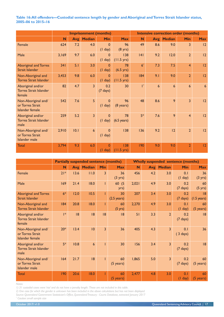#### **Table 16: All offenders—Custodial sentence length by gender and Aboriginal and Torres Strait Islander status, 2005–06 to 2015–16**

|                                                                   |       |            | <b>Imprisonment (months)</b> |                           |                             | <b>Intensive correction order (months)</b> |            |               |                 |                 |  |
|-------------------------------------------------------------------|-------|------------|------------------------------|---------------------------|-----------------------------|--------------------------------------------|------------|---------------|-----------------|-----------------|--|
|                                                                   | N     | <b>Avg</b> | <b>Median</b>                | Min                       | <b>Max</b>                  | N                                          | <b>Avg</b> | <b>Median</b> | Min             | <b>Max</b>      |  |
| Female                                                            | 624   | 7.2        | 4.0                          | $\mathbf{0}$<br>$(1$ day) | 96<br>$(8 \text{ yrs})$     | 49                                         | 8.6        | 9.0           | 3               | 12              |  |
| Male                                                              | 3,169 | 9.7        | 6.0                          | $\mathbf{0}$<br>$(1$ day) | 138<br>$(11.5 \text{ yrs})$ | 4                                          | 9.2        | 12.0          | $\overline{2}$  | 12              |  |
| <b>Aboriginal and Torres</b><br>Strait Islander                   | 341   | 5.1        | 3.0                          | $\mathbf{0}$<br>$(1$ day) | 78<br>$(6.5 \text{ yrs})$   | $6*$                                       | 7.3        | 7.5           | $\overline{4}$  | 12              |  |
| Non-Aboriginal and<br><b>Torres Strait Islander</b>               | 3,453 | 9.8        | 6.0                          | $\mathbf{0}$<br>$(1$ day) | 138<br>$(11.5 \text{ yrs})$ | 184                                        | 9.1        | 9.0           | $\overline{2}$  | 12              |  |
| Aboriginal and/or<br><b>Torres Strait Islander</b><br>female      | 82    | 4.7        | $\overline{3}$               | 0.2<br>$(7 \text{ days})$ | 30                          | $\mathbf{I}^*$                             | 6          | 6             | $6\phantom{1}6$ | $6\overline{6}$ |  |
| Non-Aboriginal and/<br>or Torres Strait<br><b>Islander female</b> | 542   | 7.6        | 5 <sup>5</sup>               | $\mathbf{0}$<br>$(1$ day) | 96<br>$(8 \text{ years})$   | 48                                         | 8.6        | 9             | $\overline{3}$  | 12              |  |
| Aboriginal and/or<br><b>Torres Strait Islander</b><br>male        | 259   | 5.2        | $\overline{3}$               | $\mathbf 0$<br>$(1$ day)  | 78<br>$(6.5 \text{ years})$ | $5*$                                       | 7.6        | 9             | $\overline{4}$  | 12              |  |
| Non-Aboriginal and/<br>or Torres Strait<br><b>Islander</b> male   | 2,910 | 10.1       | 6                            | $\Omega$<br>$(1$ day)     | 138                         | 136                                        | 9.2        | 12            | $\overline{2}$  | 12              |  |
| <b>Total</b>                                                      | 3,794 | 9.3        | 6.0                          | $\mathbf{0}$<br>$(1$ day) | 138<br>$(11.5 \text{ yrs})$ | 190                                        | 9.0        | 9.0           | $\overline{2}$  | 12              |  |

|                                                                 |                |            | <b>Partially suspended sentence (months)</b> |            |                             |       |            |                         | <b>Wholly suspended sentence (months)</b> |                            |
|-----------------------------------------------------------------|----------------|------------|----------------------------------------------|------------|-----------------------------|-------|------------|-------------------------|-------------------------------------------|----------------------------|
|                                                                 | N              | <b>Avg</b> | <b>Median</b>                                | <b>Min</b> | <b>Max</b>                  | N     | <b>Avg</b> | <b>Median</b>           | <b>Min</b>                                | <b>Max</b>                 |
| Female                                                          | $21*$          | 13.6       | 11.0                                         | 3          | 36<br>$(3 \text{ yrs})$     | 456   | 4.2        | 3.0                     | 0.1<br>$(1$ day)                          | 36<br>$(3 \text{ yrs})$    |
| Male                                                            | 169            | 21.4       | 18.0                                         |            | 60 (5<br>yrs)               | 2,021 | 4.9        | 3.0                     | 0.2<br>$(7 \text{ days})$                 | 60<br>$(5 \text{ yrs})$    |
| <b>Aboriginal and Torres</b><br>Strait Islander                 | $6*$           | 12.0       | 10.5                                         |            | 30<br>$(2.5 \text{ years})$ | 207   | 3.4        | 3.0                     | 0.2<br>$(7 \text{ days})$                 | 8<br>$(1.5 \text{ years})$ |
| Non-Aboriginal and<br><b>Torres Strait Islander</b>             | 184            | 20.8       | 18.0                                         | Т          | 60<br>$(5 \text{ yrs})$     | 2,270 | 4.9        | 3.0                     | 0.1<br>$(1$ day)                          | 60<br>$(5 \text{ years})$  |
| Aboriginal and/or<br><b>Torres Strait Islander</b><br>female    | $\mathsf{I}^*$ | 8          | 18                                           | 8          | 18                          | 51    | 3.3        | $\overline{2}$          | 0.2<br>$(7 \text{ days})$                 | 8                          |
| Non-Aboriginal and/<br>or Torres Strait<br>Islander female      | $20*$          | 13.4       | 10                                           | 3          | 36                          | 405   | 4.3        | $\overline{\mathbf{3}}$ | 0.1<br>(3 days)                           | 36                         |
| Aboriginal and/or<br><b>Torres Strait Islander</b><br>male      | $5*$           | 10.8       | 6                                            |            | 30                          | 156   | 3.4        | 3                       | 0.2<br>$(7 \text{ days})$                 | 8                          |
| Non-Aboriginal and/<br>or Torres Strait<br><b>Islander</b> male | 164            | 21.7       | 8                                            | T          | 60<br>$(5 \text{ years})$   | 1,865 | 5.0        | $\overline{\mathbf{3}}$ | 0.2<br>$(7 \text{ days})$                 | 60<br>$(5 \text{ years})$  |
| <b>Total</b>                                                    | 190            | 20.6       | 18.0                                         |            | 60<br>(5 years)             | 2,477 | 4.8        | 3.0                     | 0.1<br>$(1$ day)                          | 60<br>$(5 \text{ years})$  |

*Notes:* 

*1) 31 custodial cases were 'rise' and do not have a penalty length. These are not included in this table.* 

*2) One case for which the gender is unknown has been included in the above calculations but has not been displayed. Source: Queensland Government Statistician's Office, Queensland Treasury - Courts Database, extracted January 2017*

*<sup>\*</sup> Caution: small sample size*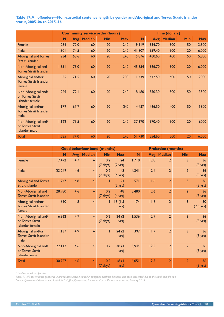**Table 17: All offenders—Non-custodial sentence length by gender and Aboriginal and Torres Strait Islander status, 2005–06 to 2015–16**

|                                                                 |       |            | <b>Community service order (hours)</b> |            |            | <b>Fine (dollars)</b> |            |               |            |            |
|-----------------------------------------------------------------|-------|------------|----------------------------------------|------------|------------|-----------------------|------------|---------------|------------|------------|
|                                                                 | N     | <b>Avg</b> | <b>Median</b>                          | <b>Min</b> | <b>Max</b> | N                     | <b>Avg</b> | <b>Median</b> | <b>Min</b> | <b>Max</b> |
| Female                                                          | 284   | 72.0       | 60                                     | 20         | 240        | 9,919                 | 534.70     | 500           | 50         | 3,500      |
| Male                                                            | 1,301 | 74.5       | 60                                     | 20         | 240        | 41,807                | 559.40     | 500           | 20         | 6,000      |
| <b>Aboriginal and Torres</b><br>Strait Islander                 | 234   | 68.6       | 60                                     | 20         | 240        | 5,876                 | 460.60     | 400           | 50         | 5,800      |
| Non-Aboriginal and<br><b>Torres Strait Islander</b>             | 1,351 | 75.0       | 60                                     | 20         | 240        | 45,854                | 566.70     | 500           | 20         | 6,000      |
| Aboriginal and/or<br><b>Torres Strait Islander</b><br>female    | 55    | 71.5       | 60                                     | 20         | 200        | 1,439                 | 442.50     | 400           | 50         | 2000       |
| Non-Aboriginal and/<br>or Torres Strait<br>Islander female      | 229   | 72.1       | 60                                     | 20         | 240        | 8,480                 | 550.30     | 500           | 50         | 3500       |
| Aboriginal and/or<br><b>Torres Strait Islander</b><br>male      | 179   | 67.7       | 60                                     | 20         | 240        | 4,437                 | 466.50     | 400           | 50         | 5800       |
| Non-Aboriginal and/<br>or Torres Strait<br><b>Islander male</b> | 1,122 | 75.5       | 60                                     | 20         | 240        | 37,370                | 570.40     | 500           | 20         | 6000       |
| <b>Total</b>                                                    | 1,585 | 74.0       | 60                                     | 20         | 240        | 51,730                | 554.60     | 500           | 20         | 6,000      |

|                                                                   |        |            | <b>Good behaviour bond (months)</b> |                           |                         |       |            | <b>Probation (months)</b> |                |                           |
|-------------------------------------------------------------------|--------|------------|-------------------------------------|---------------------------|-------------------------|-------|------------|---------------------------|----------------|---------------------------|
|                                                                   | N      | <b>Avg</b> | <b>Median</b>                       | <b>Min</b>                | <b>Max</b>              | N     | <b>Avg</b> | <b>Median</b>             | <b>Min</b>     | <b>Max</b>                |
| Female                                                            | 7,472  | 4.7        | $\overline{4}$                      | 0.2<br>$(7 \text{ days})$ | 24<br>$(2 \text{ yrs})$ | 1,710 | 12.8       | 12                        | 3              | 36<br>$(3 \text{ yrs})$   |
| Male                                                              | 23,249 | 4.6        | $\overline{4}$                      | 0.2<br>$(7 \text{ days})$ | 48<br>$(4 \text{ yrs})$ | 4,341 | 12.4       | 12                        | $\overline{2}$ | 36<br>$(3 \text{ yrs})$   |
| <b>Aboriginal and Torres</b><br>Strait Islander                   | 1,747  | 4.8        | $\overline{4}$                      |                           | 24<br>$(2 \text{ yrs})$ | 571   | 11.6       | 12                        | 3              | 36<br>$(3 \text{ yrs})$   |
| Non-Aboriginal and<br><b>Torres Strait Islander</b>               | 28,980 | 4.6        | $\overline{4}$                      | 0.2<br>$(7 \text{ days})$ | 48<br>$(4 \text{ yrs})$ | 5,480 | 12.6       | 12                        | $\overline{2}$ | 36<br>$(3 \text{ yrs})$   |
| Aboriginal and/or<br><b>Torres Strait Islander</b><br>female      | 610    | 4.8        | $\overline{4}$                      | I                         | 18(1.5)<br>yrs)         | 174   | 11.6       | 12                        | 3              | 30<br>$(2.5 \text{ yrs})$ |
| Non-Aboriginal and/<br>or Torres Strait<br><b>Islander female</b> | 6,862  | 4.7        | $\overline{4}$                      | 0.2<br>$(7 \text{ days})$ | 24(2)<br>yrs)           | 1,536 | 12.9       | 12                        | $\overline{3}$ | 36<br>$(3 \text{ yrs})$   |
| Aboriginal and/or<br><b>Torres Strait Islander</b><br>male        | 1,137  | 4.9        | $\overline{4}$                      | T                         | 24(2)<br>yrs)           | 397   | 11.7       | 12                        | $\overline{3}$ | 36<br>$(3 \text{ yrs})$   |
| Non-Aboriginal and/<br>or Torres Strait<br><b>Islander</b> male   | 22,112 | 4.6        | $\overline{\mathbf{4}}$             | 0.2                       | 48 (4)<br>yrs)          | 3,944 | 12.5       | 12                        | $\overline{2}$ | 36<br>$(3 \text{ yrs})$   |
| <b>Total</b>                                                      | 30,727 | 4.6        | 4                                   | 0.2<br>$(7 \text{ days})$ | 48 (4)<br>yrs)          | 6,051 | 12.5       | 12                        | $\overline{2}$ | 36<br>$(3 \text{ yrs})$   |

*\* Caution: small sample size*

*Note: 11 offenders whose gender is unknown have been included in subgroup analyses but have not been presented due to the small sample size*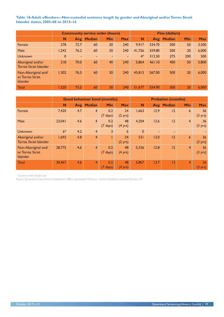#### **Table 18: Adult offenders—Non-custodial sentence length by gender and Aboriginal and/or Torres Strait Islander status, 2005–06 to 2015–16**

|                                                            |              |      | <b>Community service order (hours)</b> |                |                          | <b>Fine (dollars)</b> |        |               |            |            |
|------------------------------------------------------------|--------------|------|----------------------------------------|----------------|--------------------------|-----------------------|--------|---------------|------------|------------|
|                                                            | N            | Avg  | <b>Median</b>                          | <b>Min</b>     | <b>Max</b>               | N                     | Avg    | <b>Median</b> | <b>Min</b> | <b>Max</b> |
| Female                                                     | 278          | 72.7 | 60                                     | 30             | 240                      | 9,917                 | 534.70 | 500           | 50         | 3,500      |
| Male                                                       | 1,242        | 76.2 | 60                                     | 30             | 240                      | 41,756                | 559.80 | 500           | 20         | 6,000      |
| <b>Unknown</b>                                             | $\mathbf{0}$ | ٠    | $\overline{a}$                         | $\overline{a}$ | $\overline{\phantom{0}}$ | $4*$                  | 312.50 | 275           | 200        | 500        |
| Aboriginal and/or<br><b>Torres Strait Islander</b>         | 218          | 70.0 | 60                                     | 40             | 240                      | 5,864                 | 461.10 | 400           | 50         | 5,800      |
| Non-Aboriginal and/<br>or Torres Strait<br><b>Islander</b> | 1,302        | 76.5 | 60                                     | 30             | 240                      | 45,813                | 567.00 | 500           | 20         | 6,000      |
| <b>Total</b>                                               | 1,520        | 75.5 | 60                                     | 30             | 240                      | 51,677                | 554.90 | 500           | 20         | 6,000      |

|                                                            |        |     | <b>Good behaviour bond (months)</b> |                           |                         | <b>Probation (months)</b> |            |               |                |                         |
|------------------------------------------------------------|--------|-----|-------------------------------------|---------------------------|-------------------------|---------------------------|------------|---------------|----------------|-------------------------|
|                                                            | N      | Avg | <b>Median</b>                       | Min                       | <b>Max</b>              | N                         | <b>Avg</b> | <b>Median</b> | <b>Min</b>     | <b>Max</b>              |
| Female                                                     | 7,420  | 4.7 | $\overline{4}$                      | 0.2<br>$(7 \text{ days})$ | 24<br>$(2 \text{ yrs})$ | 1,663                     | 12.9       | 12            | 6              | 36<br>$(3 \text{ yrs})$ |
| Male                                                       | 23,041 | 4.6 | $\overline{4}$                      | 0.2<br>$(7 \text{ days})$ | 48<br>$(4 \text{ yrs})$ | 4,204                     | 12.6       | 12            | $\overline{4}$ | 36<br>$(3 \text{ yrs})$ |
| <b>Unknown</b>                                             | $6*$   | 4.2 | $\overline{4}$                      | 3                         | 6                       | $\mathbf{0}$              |            | ٠             |                |                         |
| Aboriginal and/or<br><b>Torres Strait Islander</b>         | 1,692  | 4.8 | $\overline{4}$                      |                           | 24<br>$(2 \text{ yrs})$ | 531                       | 12.0       | 12            | 6              | 36<br>$(3 \text{ yrs})$ |
| Non-Aboriginal and/<br>or Torres Strait<br><b>Islander</b> | 28,775 | 4.6 | $\overline{4}$                      | 0.2<br>$(7 \text{ days})$ | 48<br>$(4 \text{ yrs})$ | 5,336                     | 12.8       | 12            | $\overline{4}$ | 36<br>$(3 \text{ yrs})$ |
| <b>Total</b>                                               | 30,467 | 4.6 | $\overline{4}$                      | 0.2<br>$(7 \text{ days})$ | 48<br>$(4 \text{ yrs})$ | 5,867                     | 12.7       | 12            | $\overline{4}$ | 36<br>(3 yrs)           |

*\* Caution: small sample size*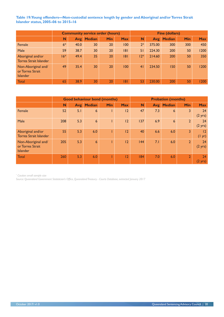#### **Table 19: Young offenders—Non-custodial sentence length by gender and Aboriginal and/or Torres Strait Islander status, 2005–06 to 2015–16**

|                                                            |      |            | <b>Community service order (hours)</b> |            |            | <b>Fine (dollars)</b> |        |               |            |            |
|------------------------------------------------------------|------|------------|----------------------------------------|------------|------------|-----------------------|--------|---------------|------------|------------|
|                                                            | N    | <b>Avg</b> | <b>Median</b>                          | <b>Min</b> | <b>Max</b> | N                     | Avg    | <b>Median</b> | <b>Min</b> | <b>Max</b> |
| Female                                                     | $6*$ | 40.0       | 30                                     | 20         | 100        | $2*$                  | 375.00 | 300           | 300        | 450        |
| <b>Male</b>                                                | 59   | 38.7       | 30                                     | 20         | 8          | 51                    | 224.30 | 200           | 50         | 1200       |
| Aboriginal and/or<br><b>Torres Strait Islander</b>         | $6*$ | 49.4       | 35                                     | 20         | 8          | $12*$                 | 214.60 | 200           | 50         | 350        |
| Non-Aboriginal and/<br>or Torres Strait<br><b>Islander</b> | 49   | 35.4       | 30                                     | 20         | 100        | 4 <sub>1</sub>        | 234.50 | 150           | 50         | 1200       |
| <b>Total</b>                                               | 65   | 38.9       | 30                                     | 20         | 181        | 53                    | 230.00 | 200           | 50         | 1200       |

|                                                            |     |            | <b>Good behaviour bond (months)</b> |            |            | <b>Probation (months)</b> |     |                   |                |                         |  |
|------------------------------------------------------------|-----|------------|-------------------------------------|------------|------------|---------------------------|-----|-------------------|----------------|-------------------------|--|
|                                                            | N   | <b>Avg</b> | <b>Median</b>                       | <b>Min</b> | <b>Max</b> | N                         |     | <b>Avg Median</b> | <b>Min</b>     | <b>Max</b>              |  |
| Female                                                     | 52  | 5.1        | 6                                   |            | 12         | 47                        | 7.3 | 6                 | $\overline{3}$ | 24<br>$(2 \text{ yrs})$ |  |
| Male                                                       | 208 | 5.3        | $6\overline{6}$                     |            | 12         | 137                       | 6.9 | 6                 | $2^{\circ}$    | 24<br>$(2 \text{ yrs})$ |  |
| Aboriginal and/or<br><b>Torres Strait Islander</b>         | 55  | 5.3        | 6.0                                 |            | 12         | 40                        | 6.6 | 6.0               | $\overline{3}$ | 12<br>$(1 \text{ yr})$  |  |
| Non-Aboriginal and/<br>or Torres Strait<br><b>Islander</b> | 205 | 5.3        | $6\overline{6}$                     |            | 12         | 44                        | 7.1 | 6.0               | 2 <sup>1</sup> | 24<br>$(2 \text{ yrs})$ |  |
| <b>Total</b>                                               | 260 | 5.3        | 6.0                                 |            | 12         | 184                       | 7.0 | 6.0               | $\overline{2}$ | 24<br>$(2 \text{ yrs})$ |  |

*\* Caution: small sample size*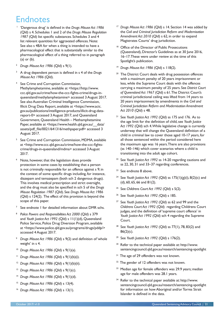## Endnotes

- <sup>1</sup> 'Dangerous drug' is defined in the *Drugs Misuse Act 1986*  (Qld) s 4. Schedules 1 and 2 of the *Drugs Misuse Regulation 1987* (Qld) list specific substances. Schedules 3 and 4 list relevant quantities for aggravated offences. Note: See also s 4BA for when a thing is intended to have a pharmacological effect that is substantially similar to the pharmacological effect of a thing referred to in paragraph (a) or (b).
- 2 *Drugs Misuse Act 1986* (Qld) s 9(1).
- <sup>3</sup> A drug dependent person is defined in s 4 of the *Drugs Misuse Act 1986* (Qld).
- 4 See Crime and Corruption Commission, Methylamphetamine, available at <https://http://www. ccc.qld.gov.au/crime/how-the-ccc-fights-crime/drugs-inqueensland/methylamphetamine> accessed 3 August 2017. See also Australian Criminal Intelligence Commission, Illicit Drug Data Report, available at <https://www.acic. gov.au/publications/intelligence-products/illicit-drug-datareport-0> accessed 3 August 2017, and Queensland Government, Queensland Health – Methamphetamine Paper, available at <https://www.health.qld.gov.au/ data/ assets/pdf\_file/0021/641316/methpaper.pdf> accessed 3 August 2017.
- 5 See Crime and Corruption Commission, MDMA, available at <http://www.ccc.qld.gov.au/crime/how-the-ccc-fightscrime/drugs-in-queensland/mdma> accessed 3 August 2017.
- 6 Note, however, that the legislation does provide protection in some cases by establishing that a person is not criminally responsible for an offence against s 9; in the context of some specific drugs including, for instance, diazepam and temazepam (both sch 2 dangerous drugs). This involves medical prescription and strict oversight, and the drug must also be specified in sch 5 of the *Drugs Misuse Regulation 1987* (Qld). See *Drugs Misuse Act 1986*  (Qld) s 124(2). The effect of this provision is beyond the scope of this paper.
- <sup>7</sup> See endnote I for detailed information about DMR schs.
- 8 *Police Powers and Responsibilities Act 2000* (Qld) s 379 and *Youth Justice Act 1992* (Qld) s 11(1)(d), Queensland Police Service, Police Drug Diversion Program, available at <https://www.police.qld.gov.au/programs/drugs/pddp/> accessed 4 August 2017.
- <sup>9</sup> *Drugs Misuse Act 1986* (Qld) s 9(2) and definition of 'whole weight' in s 4.
- 10 *Drugs Misuse Act 1986* (Qld) s 9(1)(a).
- 11 *Drugs Misuse Act 1986* (Qld) s 9(1)(b)(i).
- 12 *Drugs Misuse Act 1986* (Qld) s 9(1)(b)(ii).
- 13 *Drugs Misuse Act 1986* (Qld) s 9(1)(c).
- 14 *Drugs Misuse Act 1986* (Qld) s 9(1)(d).
- 15 *Drugs Misuse Act 1986* (Qld) s 13(4).
- 16 *Drugs Misuse Act 1986* (Qld) s 13(1).
- <sup>17</sup> Drugs Misuse Act 1986 (Old) s 14. Section 14 was added by the *Civil and Criminal Jurisdiction Reform and Modernisation Amendment Act 2010* (Qld) s 62, in order to expand Magistrates Courts' drug jurisdiction.
- <sup>18</sup> Office of the Director of Public Prosecutions (Queensland), Director's Guidelines as at 30 June 2016, 16–17. These were under review at the time of this Spotlight's publication.
- 19 *Drugs Misuse Act 1986* (Qld) s 118(2).
- <sup>20</sup> The District Court deals with drug possession offences with a maximum penalty of 20 years imprisonment or less, while the Supreme Court deals with the offences carrying a maximum penalty of 25 years. See *District Court of Queensland Act 1967* (Qld) s 61. The District Court's criminal jurisdictional ceiling was lifted from 14 years to 20 years imprisonment by amendments in the *Civil and Criminal Jurisdiction Reform and Modernisation Amendment Act 2010* (Qld) s 48.
- 21 See *Youth Justice Act 1992* (Qld) ss 175 and 176. As to the age limit for the definition of child, see *Youth Justice Act 1992* (Qld) sch 4. While legislative change is currently underway that will change the Queensland definition of a child in criminal law to cover those aged 10-17 years, for all those sentenced within the period considered here the maximum age was 16 years. There are also provisions (ss 140–146) which cover scenarios where a child is transitioning into the adult age cohort.
- 22 See *Youth Justice Act 1992* ss 14-20 regarding cautions and ss 22, 30, 31 and 33–37 regarding conferences.
- <sup>23</sup> See endnote 8 above.
- <sup>24</sup> See *Youth Justice Act 1992* (QId) ss  $175(1)(g)(i)$ ,  $8(2)(c)$  and (d), 60, 65, 66 and 81(2).
- 25 See *Childrens Court Act 1992* (Qld) s 5(2).
- 26 See *Youth Justice Act 1992 (*Qld) s 185.
- See Youth Justice Act 1992 (Qld) ss 62 and 99 and the *Childrens Court Act 1992* (Qld) regarding Childrens Court judges, and the definition of 'supreme court offence' in *Youth Justice Act 1992* (Qld) sch 4 regarding the Supreme Court.
- 28 See *Youth Justice Act 1992* (Qld) ss 77(1), 78, 83(2) and  $86(2)(c)$ .
- 29 See *Youth Justice Act 1992* (Qld) s 176(2).
- 30 Refer to the technical paper available at: http://www. sentencingcouncil.qld.gov.au/research/sentencing-spotlight
- <sup>31</sup> The age of 29 offenders was not known.
- <sup>32</sup> The gender of 12 offenders was not known.
- <sup>33</sup> Median age for female offenders was 29.9 years; median age for male offenders was 28.1 years.
- 34 Refer to the technical paper available at: http://www. sentencingcouncil.qld.gov.au/research/sentencing-spotlight for information on how Aboriginal and/or Torres Strait Islander is defined in the data.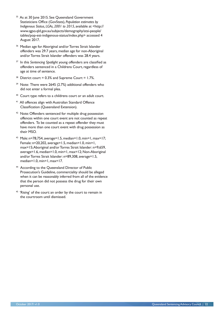- <sup>35</sup> As at 30 June 2015. See Queensland Government Statisticians Office (GovStats), *Population estimates by Indigenous Status, LGAs, 2001 to 2015*, available at <http:// www.qgso.qld.gov.au/subjects/demography/atsi-people/ tables/pop-est-indigenous-status/index.php> accessed 4 August 2017.
- <sup>36</sup> Median age for Aboriginal and/or Torres Strait Islander offenders was 29.7 years, median age for non-Aboriginal and/or Torres Strait Islander offenders was 28.4 years.
- 37 In this *Sentencing Spotlight* young offenders are classified as offenders sentenced in a Childrens Court, regardless of age at time of sentence.
- $38$  District court = 0.3% and Supreme Court = 1.7%.
- <sup>39</sup> Note: There were 2645 (2.7%) additional offenders who did not enter a formal plea.
- 40 Court type refers to a childrens court or an adult court.
- 41 All offences align with Australian Standard Offence Classification (Queensland Extension).
- 42 Note: Offenders sentenced for multiple drug possession offences within one court event are not counted as repeat offenders. To be counted as a repeat offender they must have more than one court event with drug possession as their MSO.
- 43 Male: n=78,754, average=1.5, median=1.0, min=1, max=17; Female: n=20,202, average=1.5, median=1.0, min=1, max=15; Aboriginal and/or Torres Strait Islander: n=9,659, average=1.6, median=1.0, min=1, max=12; Non-Aboriginal and/or Torres Strait Islander: n=89,308, average=1.5, median=1.0, min=1, max=17.
- <sup>44</sup> According to the Queensland Director of Public Prosecution's Guideline, commerciality should be alleged when it can be reasonably inferred from all of the evidence that the person did not possess the drug for their own personal use.
- 45 'Rising' of the court: an order by the court to remain in the courtroom until dismissed.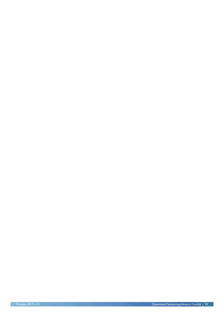I